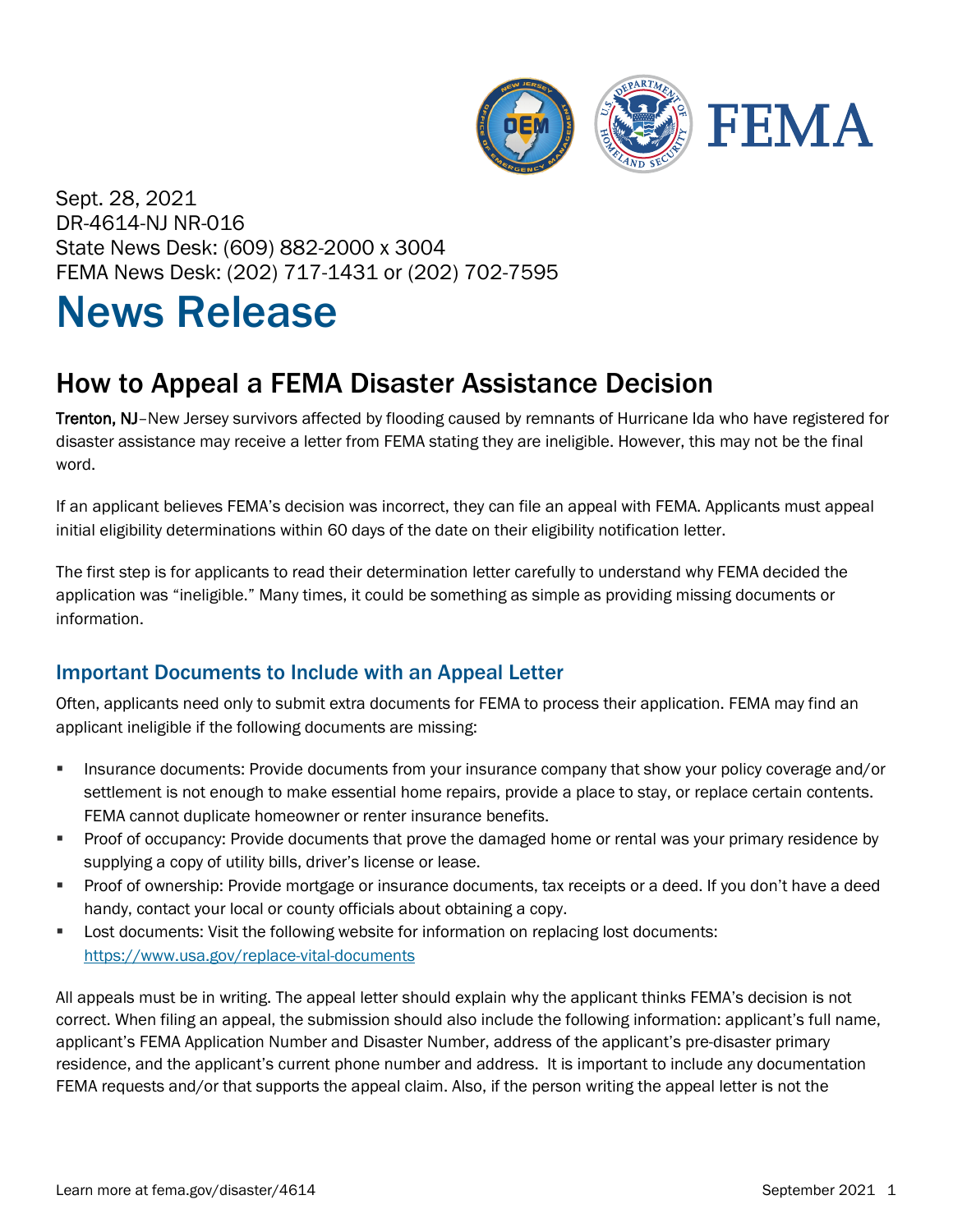

Sept. 28, 2021 DR-4614-NJ NR-016 State News Desk: (609) 882-2000 x 3004 FEMA News Desk: (202) 717-1431 or (202) 702-7595

## News Release

## How to Appeal a FEMA Disaster Assistance Decision

Trenton, NJ–New Jersey survivors affected by flooding caused by remnants of Hurricane Ida who have registered for disaster assistance may receive a letter from FEMA stating they are ineligible. However, this may not be the final word.

If an applicant believes FEMA's decision was incorrect, they can file an appeal with FEMA. Applicants must appeal initial eligibility determinations within 60 days of the date on their eligibility notification letter.

The first step is for applicants to read their determination letter carefully to understand why FEMA decided the application was "ineligible." Many times, it could be something as simple as providing missing documents or information.

## Important Documents to Include with an Appeal Letter

Often, applicants need only to submit extra documents for FEMA to process their application. FEMA may find an applicant ineligible if the following documents are missing:

- **Insurance documents: Provide documents from your insurance company that show your policy coverage and/or** settlement is not enough to make essential home repairs, provide a place to stay, or replace certain contents. FEMA cannot duplicate homeowner or renter insurance benefits.
- **Proof of occupancy: Provide documents that prove the damaged home or rental was your primary residence by** supplying a copy of utility bills, driver's license or lease.
- **Proof of ownership: Provide mortgage or insurance documents, tax receipts or a deed. If you don't have a deed** handy, contact your local or county officials about obtaining a copy.
- **Lost documents: Visit the following website for information on replacing lost documents:** <https://www.usa.gov/replace-vital-documents>

All appeals must be in writing. The appeal letter should explain why the applicant thinks FEMA's decision is not correct. When filing an appeal, the submission should also include the following information: applicant's full name, applicant's FEMA Application Number and Disaster Number, address of the applicant's pre-disaster primary residence, and the applicant's current phone number and address. It is important to include any documentation FEMA requests and/or that supports the appeal claim. Also, if the person writing the appeal letter is not the